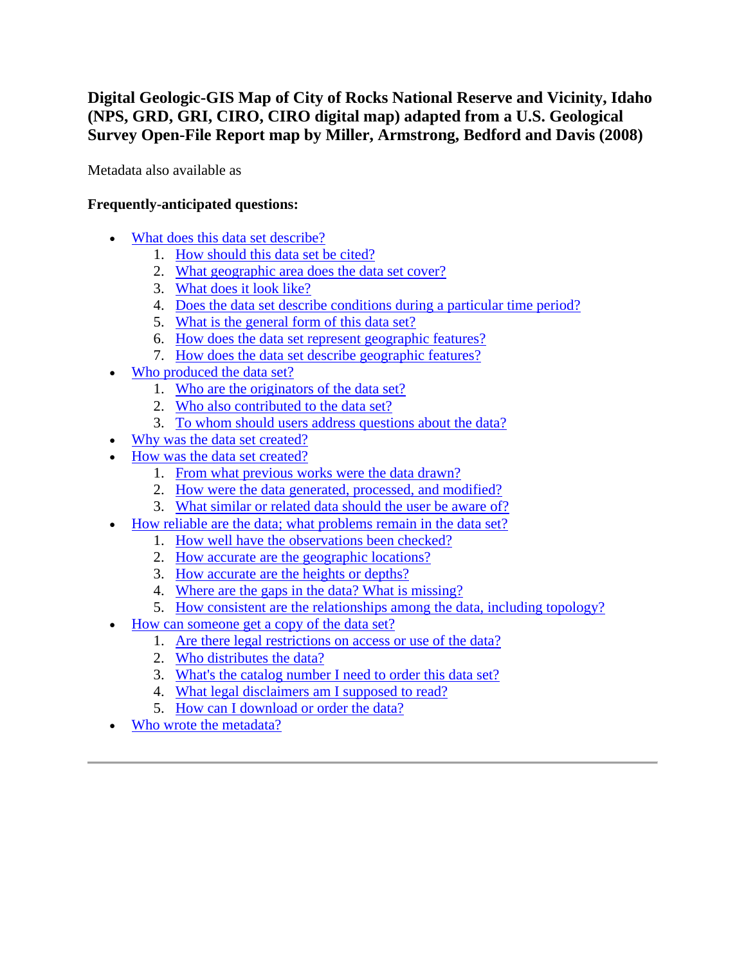**Digital Geologic-GIS Map of City of Rocks National Reserve and Vicinity, Idaho (NPS, GRD, GRI, CIRO, CIRO digital map) adapted from a U.S. Geological Survey Open-File Report map by Miller, Armstrong, Bedford and Davis (2008)**

Metadata also available as

# **Frequently-anticipated questions:**

- [What does this data set describe?](#page-0-0)
	- 1. [How should this data set be cited?](#page-2-0)
	- 2. [What geographic area does the data set cover?](#page-2-1)
	- 3. [What does it look like?](#page-2-2)
	- 4. [Does the data set describe conditions during a particular time period?](#page-2-3)
	- 5. [What is the general form of this data set?](#page-3-0)
	- 6. [How does the data set represent geographic features?](#page-3-1)
	- 7. [How does the data set describe geographic features?](#page-3-2)
- [Who produced the data set?](#page-3-3)
	- 1. [Who are the originators of the data set?](#page-4-0)
	- 2. [Who also contributed to the data set?](#page-4-1)
	- 3. [To whom should users address questions about the data?](#page-4-2)
- [Why was the data set created?](#page-4-3)
- [How was the data set created?](#page-4-4)
	- 1. [From what previous works were the data drawn?](#page-4-5)
	- 2. [How were the data generated, processed, and modified?](#page-5-0)
	- 3. [What similar or related data should the user be aware of?](#page-6-0)
- [How reliable are the data; what problems remain in the data set?](#page-6-1)
	- 1. [How well have the observations been checked?](#page-6-2)
	- 2. [How accurate are the geographic locations?](#page-6-3)
	- 3. [How accurate are the heights or depths?](#page-6-4)
	- 4. [Where are the gaps in the data? What is missing?](#page-6-5)
	- 5. [How consistent are the relationships among the data, including topology?](#page-6-6)
- [How can someone get a copy of the data set?](#page-7-0)
	- 1. [Are there legal restrictions on access or use of the data?](#page-7-1)
	- 2. [Who distributes the data?](#page-7-2)
	- 3. [What's the catalog number I need to order this data set?](#page-7-3)
	- 4. [What legal disclaimers am I supposed to read?](#page-7-4)
	- 5. [How can I download or order the data?](#page-8-0)
- <span id="page-0-0"></span>[Who wrote the metadata?](#page-9-0)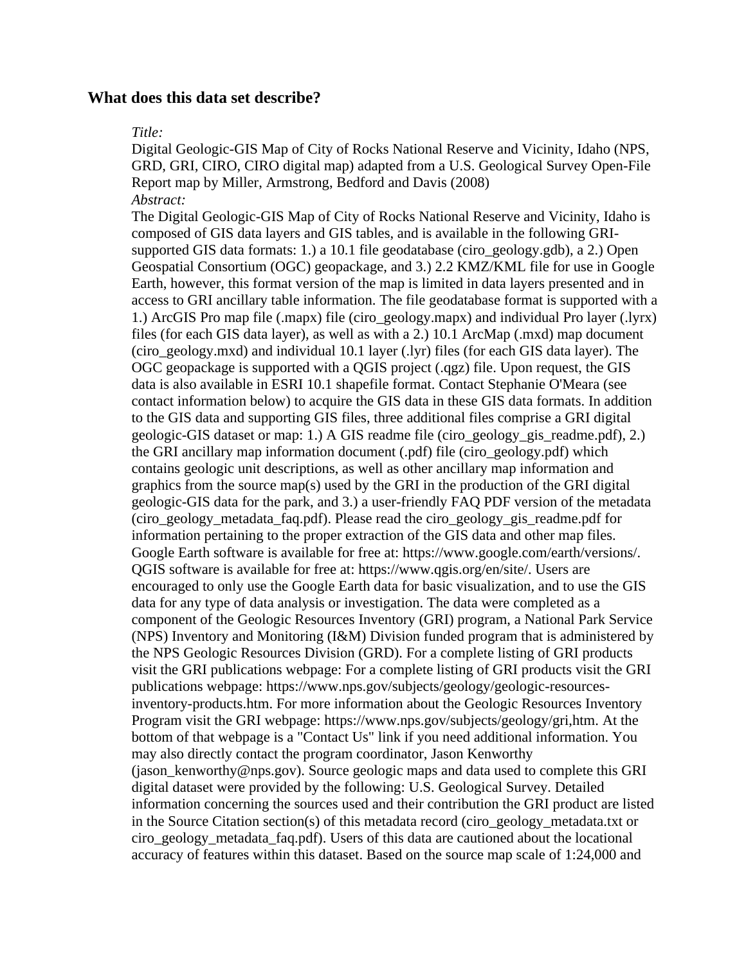#### **What does this data set describe?**

#### *Title:*

Digital Geologic-GIS Map of City of Rocks National Reserve and Vicinity, Idaho (NPS, GRD, GRI, CIRO, CIRO digital map) adapted from a U.S. Geological Survey Open-File Report map by Miller, Armstrong, Bedford and Davis (2008) *Abstract:*

The Digital Geologic-GIS Map of City of Rocks National Reserve and Vicinity, Idaho is composed of GIS data layers and GIS tables, and is available in the following GRIsupported GIS data formats: 1.) a 10.1 file geodatabase (ciro\_geology.gdb), a 2.) Open Geospatial Consortium (OGC) geopackage, and 3.) 2.2 KMZ/KML file for use in Google Earth, however, this format version of the map is limited in data layers presented and in access to GRI ancillary table information. The file geodatabase format is supported with a 1.) ArcGIS Pro map file (.mapx) file (ciro\_geology.mapx) and individual Pro layer (.lyrx) files (for each GIS data layer), as well as with a 2.) 10.1 ArcMap (.mxd) map document (ciro\_geology.mxd) and individual 10.1 layer (.lyr) files (for each GIS data layer). The OGC geopackage is supported with a QGIS project (.qgz) file. Upon request, the GIS data is also available in ESRI 10.1 shapefile format. Contact Stephanie O'Meara (see contact information below) to acquire the GIS data in these GIS data formats. In addition to the GIS data and supporting GIS files, three additional files comprise a GRI digital geologic-GIS dataset or map: 1.) A GIS readme file (ciro\_geology\_gis\_readme.pdf), 2.) the GRI ancillary map information document (.pdf) file (ciro\_geology.pdf) which contains geologic unit descriptions, as well as other ancillary map information and graphics from the source map(s) used by the GRI in the production of the GRI digital geologic-GIS data for the park, and 3.) a user-friendly FAQ PDF version of the metadata (ciro\_geology\_metadata\_faq.pdf). Please read the ciro\_geology\_gis\_readme.pdf for information pertaining to the proper extraction of the GIS data and other map files. Google Earth software is available for free at: https://www.google.com/earth/versions/. QGIS software is available for free at: https://www.qgis.org/en/site/. Users are encouraged to only use the Google Earth data for basic visualization, and to use the GIS data for any type of data analysis or investigation. The data were completed as a component of the Geologic Resources Inventory (GRI) program, a National Park Service (NPS) Inventory and Monitoring (I&M) Division funded program that is administered by the NPS Geologic Resources Division (GRD). For a complete listing of GRI products visit the GRI publications webpage: For a complete listing of GRI products visit the GRI publications webpage: https://www.nps.gov/subjects/geology/geologic-resourcesinventory-products.htm. For more information about the Geologic Resources Inventory Program visit the GRI webpage: https://www.nps.gov/subjects/geology/gri,htm. At the bottom of that webpage is a "Contact Us" link if you need additional information. You may also directly contact the program coordinator, Jason Kenworthy (jason kenworthy@nps.gov). Source geologic maps and data used to complete this GRI digital dataset were provided by the following: U.S. Geological Survey. Detailed information concerning the sources used and their contribution the GRI product are listed in the Source Citation section(s) of this metadata record (ciro\_geology\_metadata.txt or ciro\_geology\_metadata\_faq.pdf). Users of this data are cautioned about the locational accuracy of features within this dataset. Based on the source map scale of 1:24,000 and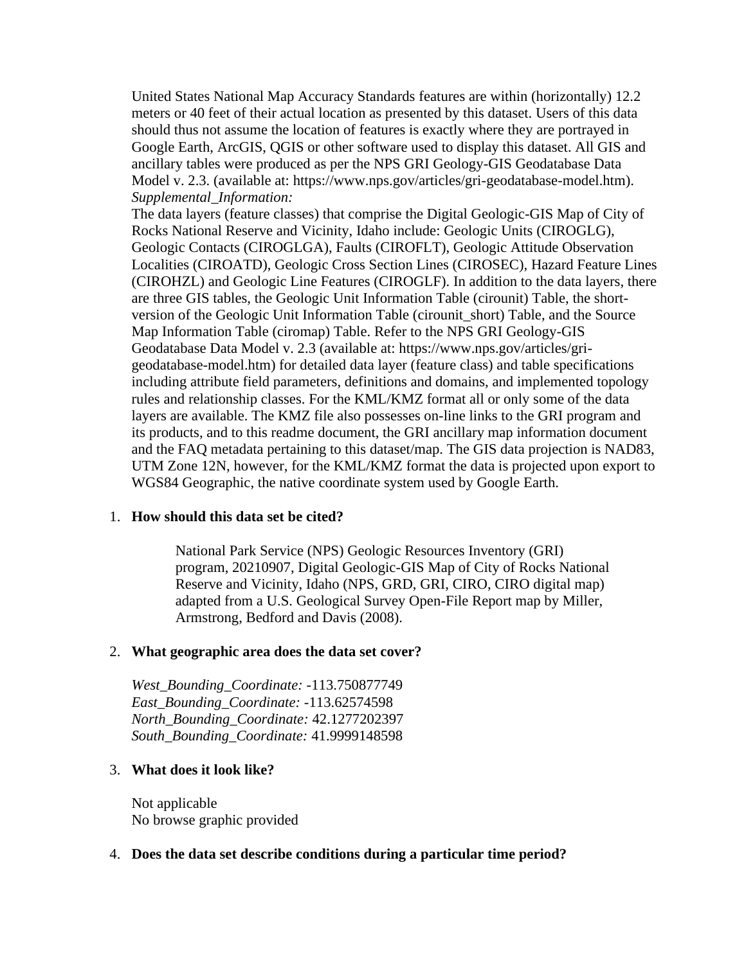United States National Map Accuracy Standards features are within (horizontally) 12.2 meters or 40 feet of their actual location as presented by this dataset. Users of this data should thus not assume the location of features is exactly where they are portrayed in Google Earth, ArcGIS, QGIS or other software used to display this dataset. All GIS and ancillary tables were produced as per the NPS GRI Geology-GIS Geodatabase Data Model v. 2.3. (available at: https://www.nps.gov/articles/gri-geodatabase-model.htm). *Supplemental\_Information:*

The data layers (feature classes) that comprise the Digital Geologic-GIS Map of City of Rocks National Reserve and Vicinity, Idaho include: Geologic Units (CIROGLG), Geologic Contacts (CIROGLGA), Faults (CIROFLT), Geologic Attitude Observation Localities (CIROATD), Geologic Cross Section Lines (CIROSEC), Hazard Feature Lines (CIROHZL) and Geologic Line Features (CIROGLF). In addition to the data layers, there are three GIS tables, the Geologic Unit Information Table (cirounit) Table, the shortversion of the Geologic Unit Information Table (cirounit\_short) Table, and the Source Map Information Table (ciromap) Table. Refer to the NPS GRI Geology-GIS Geodatabase Data Model v. 2.3 (available at: https://www.nps.gov/articles/grigeodatabase-model.htm) for detailed data layer (feature class) and table specifications including attribute field parameters, definitions and domains, and implemented topology rules and relationship classes. For the KML/KMZ format all or only some of the data layers are available. The KMZ file also possesses on-line links to the GRI program and its products, and to this readme document, the GRI ancillary map information document and the FAQ metadata pertaining to this dataset/map. The GIS data projection is NAD83, UTM Zone 12N, however, for the KML/KMZ format the data is projected upon export to WGS84 Geographic, the native coordinate system used by Google Earth.

#### <span id="page-2-0"></span>1. **How should this data set be cited?**

National Park Service (NPS) Geologic Resources Inventory (GRI) program, 20210907, Digital Geologic-GIS Map of City of Rocks National Reserve and Vicinity, Idaho (NPS, GRD, GRI, CIRO, CIRO digital map) adapted from a U.S. Geological Survey Open-File Report map by Miller, Armstrong, Bedford and Davis (2008).

#### <span id="page-2-1"></span>2. **What geographic area does the data set cover?**

*West\_Bounding\_Coordinate:* -113.750877749 *East\_Bounding\_Coordinate:* -113.62574598 *North\_Bounding\_Coordinate:* 42.1277202397 *South\_Bounding\_Coordinate:* 41.9999148598

#### <span id="page-2-2"></span>3. **What does it look like?**

Not applicable No browse graphic provided

#### <span id="page-2-3"></span>4. **Does the data set describe conditions during a particular time period?**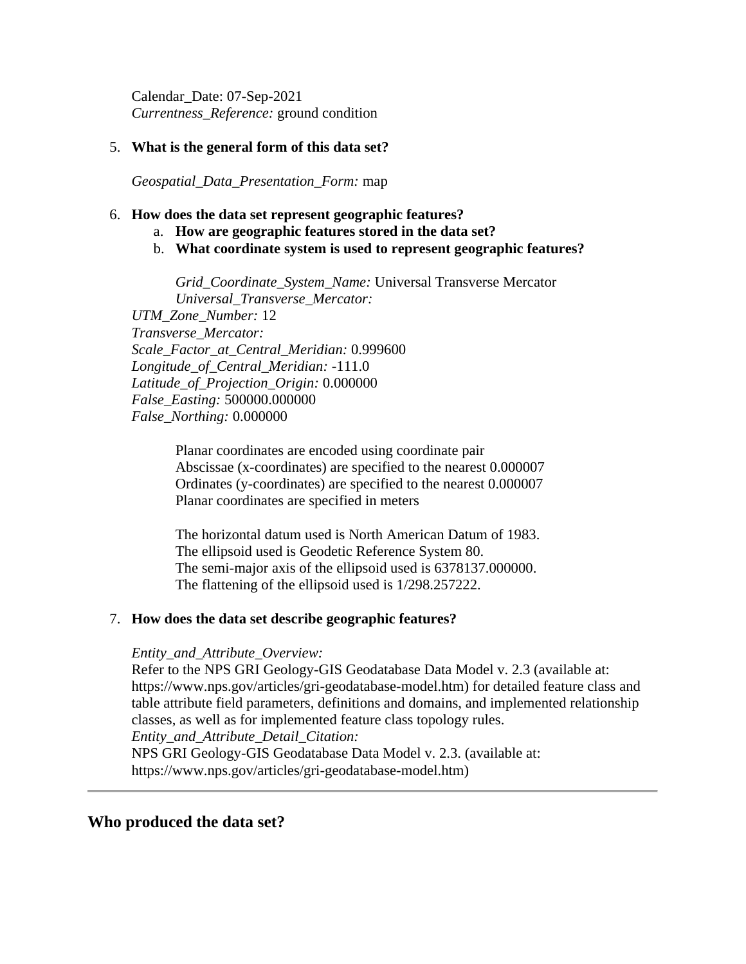Calendar\_Date: 07-Sep-2021 *Currentness\_Reference:* ground condition

### <span id="page-3-0"></span>5. **What is the general form of this data set?**

*Geospatial\_Data\_Presentation\_Form:* map

#### <span id="page-3-1"></span>6. **How does the data set represent geographic features?**

- a. **How are geographic features stored in the data set?**
- b. **What coordinate system is used to represent geographic features?**

*Grid\_Coordinate\_System\_Name:* Universal Transverse Mercator *Universal\_Transverse\_Mercator: UTM\_Zone\_Number:* 12 *Transverse\_Mercator: Scale\_Factor\_at\_Central\_Meridian:* 0.999600 *Longitude\_of\_Central\_Meridian:* -111.0 *Latitude\_of\_Projection\_Origin:* 0.000000

*False\_Easting:* 500000.000000

*False\_Northing:* 0.000000

Planar coordinates are encoded using coordinate pair Abscissae (x-coordinates) are specified to the nearest 0.000007 Ordinates (y-coordinates) are specified to the nearest 0.000007 Planar coordinates are specified in meters

The horizontal datum used is North American Datum of 1983. The ellipsoid used is Geodetic Reference System 80. The semi-major axis of the ellipsoid used is 6378137.000000. The flattening of the ellipsoid used is 1/298.257222.

### <span id="page-3-2"></span>7. **How does the data set describe geographic features?**

#### *Entity\_and\_Attribute\_Overview:*

Refer to the NPS GRI Geology-GIS Geodatabase Data Model v. 2.3 (available at: https://www.nps.gov/articles/gri-geodatabase-model.htm) for detailed feature class and table attribute field parameters, definitions and domains, and implemented relationship classes, as well as for implemented feature class topology rules. *Entity\_and\_Attribute\_Detail\_Citation:*

NPS GRI Geology-GIS Geodatabase Data Model v. 2.3. (available at: https://www.nps.gov/articles/gri-geodatabase-model.htm)

### <span id="page-3-3"></span>**Who produced the data set?**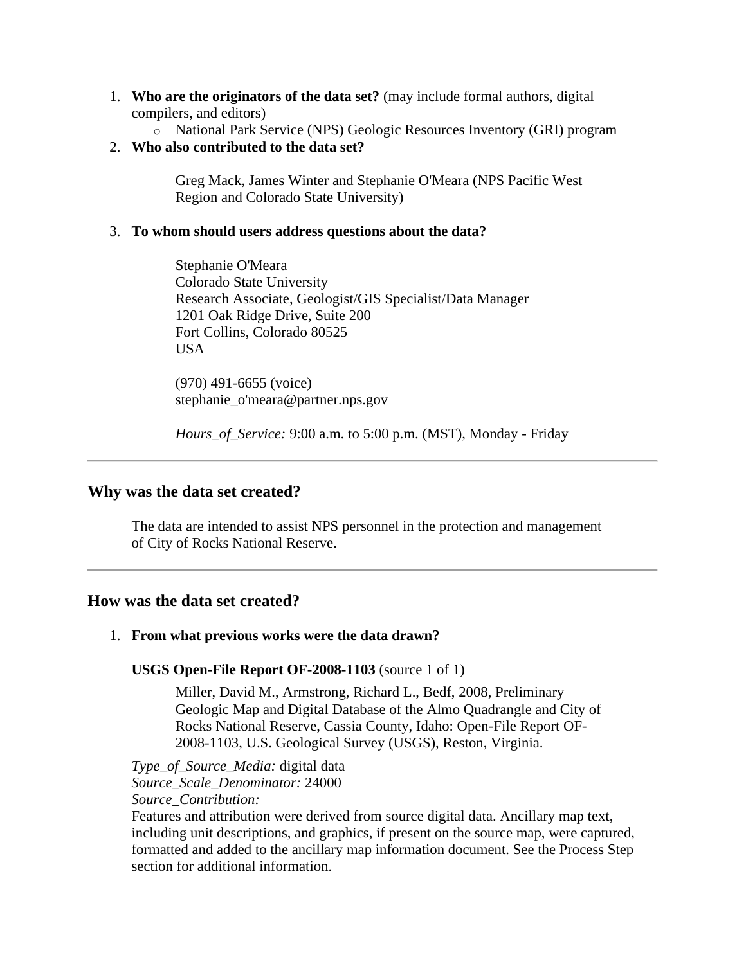- <span id="page-4-0"></span>1. **Who are the originators of the data set?** (may include formal authors, digital compilers, and editors)
	- o National Park Service (NPS) Geologic Resources Inventory (GRI) program
- <span id="page-4-1"></span>2. **Who also contributed to the data set?**

Greg Mack, James Winter and Stephanie O'Meara (NPS Pacific West Region and Colorado State University)

### <span id="page-4-2"></span>3. **To whom should users address questions about the data?**

Stephanie O'Meara Colorado State University Research Associate, Geologist/GIS Specialist/Data Manager 1201 Oak Ridge Drive, Suite 200 Fort Collins, Colorado 80525 USA

(970) 491-6655 (voice) stephanie\_o'meara@partner.nps.gov

*Hours\_of\_Service:* 9:00 a.m. to 5:00 p.m. (MST), Monday - Friday

# <span id="page-4-3"></span>**Why was the data set created?**

The data are intended to assist NPS personnel in the protection and management of City of Rocks National Reserve.

# <span id="page-4-4"></span>**How was the data set created?**

# <span id="page-4-5"></span>1. **From what previous works were the data drawn?**

### **USGS Open-File Report OF-2008-1103** (source 1 of 1)

Miller, David M., Armstrong, Richard L., Bedf, 2008, Preliminary Geologic Map and Digital Database of the Almo Quadrangle and City of Rocks National Reserve, Cassia County, Idaho: Open-File Report OF-2008-1103, U.S. Geological Survey (USGS), Reston, Virginia.

*Type\_of\_Source\_Media:* digital data *Source\_Scale\_Denominator:* 24000 *Source\_Contribution:*

Features and attribution were derived from source digital data. Ancillary map text, including unit descriptions, and graphics, if present on the source map, were captured, formatted and added to the ancillary map information document. See the Process Step section for additional information.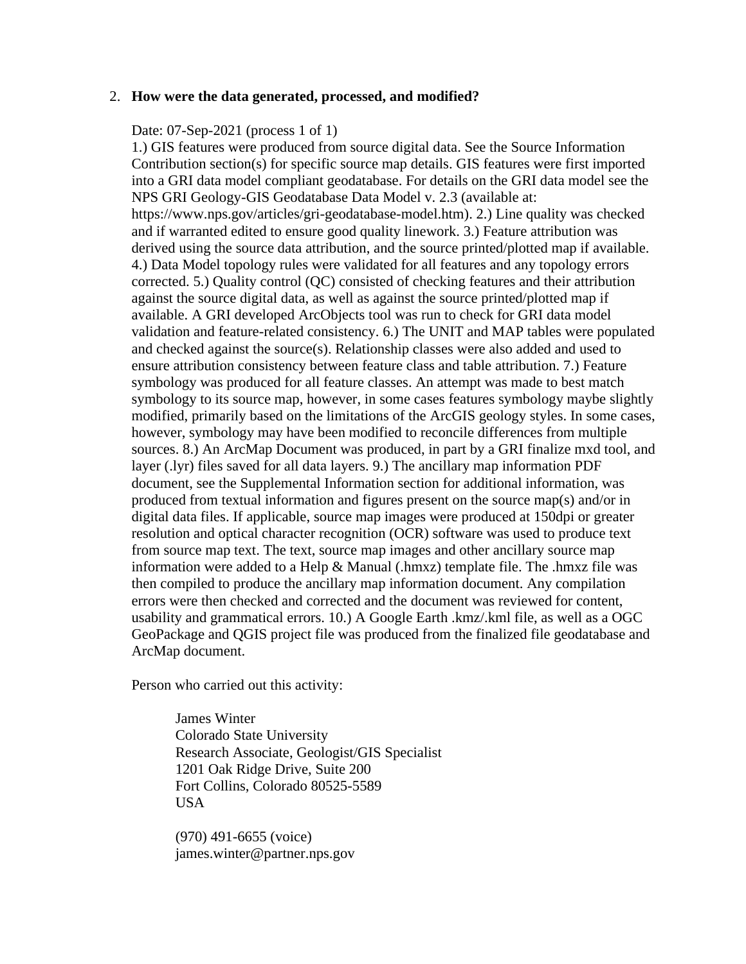#### <span id="page-5-0"></span>2. **How were the data generated, processed, and modified?**

### Date: 07-Sep-2021 (process 1 of 1)

1.) GIS features were produced from source digital data. See the Source Information Contribution section(s) for specific source map details. GIS features were first imported into a GRI data model compliant geodatabase. For details on the GRI data model see the NPS GRI Geology-GIS Geodatabase Data Model v. 2.3 (available at: https://www.nps.gov/articles/gri-geodatabase-model.htm). 2.) Line quality was checked and if warranted edited to ensure good quality linework. 3.) Feature attribution was derived using the source data attribution, and the source printed/plotted map if available. 4.) Data Model topology rules were validated for all features and any topology errors corrected. 5.) Quality control (QC) consisted of checking features and their attribution against the source digital data, as well as against the source printed/plotted map if available. A GRI developed ArcObjects tool was run to check for GRI data model validation and feature-related consistency. 6.) The UNIT and MAP tables were populated and checked against the source(s). Relationship classes were also added and used to ensure attribution consistency between feature class and table attribution. 7.) Feature symbology was produced for all feature classes. An attempt was made to best match symbology to its source map, however, in some cases features symbology maybe slightly modified, primarily based on the limitations of the ArcGIS geology styles. In some cases, however, symbology may have been modified to reconcile differences from multiple sources. 8.) An ArcMap Document was produced, in part by a GRI finalize mxd tool, and layer (.lyr) files saved for all data layers. 9.) The ancillary map information PDF document, see the Supplemental Information section for additional information, was produced from textual information and figures present on the source map(s) and/or in digital data files. If applicable, source map images were produced at 150dpi or greater resolution and optical character recognition (OCR) software was used to produce text from source map text. The text, source map images and other ancillary source map information were added to a Help & Manual (.hmxz) template file. The .hmxz file was then compiled to produce the ancillary map information document. Any compilation errors were then checked and corrected and the document was reviewed for content, usability and grammatical errors. 10.) A Google Earth .kmz/.kml file, as well as a OGC GeoPackage and QGIS project file was produced from the finalized file geodatabase and ArcMap document.

Person who carried out this activity:

James Winter Colorado State University Research Associate, Geologist/GIS Specialist 1201 Oak Ridge Drive, Suite 200 Fort Collins, Colorado 80525-5589 USA

(970) 491-6655 (voice) james.winter@partner.nps.gov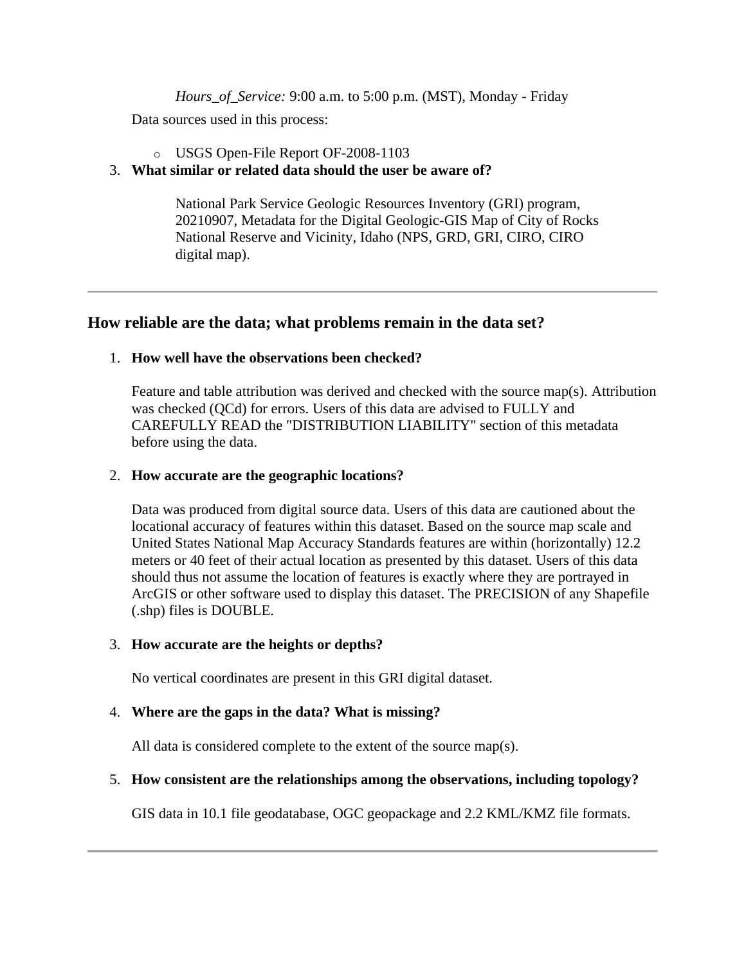*Hours\_of\_Service:* 9:00 a.m. to 5:00 p.m. (MST), Monday - Friday

Data sources used in this process:

### o USGS Open-File Report OF-2008-1103

# <span id="page-6-0"></span>3. **What similar or related data should the user be aware of?**

National Park Service Geologic Resources Inventory (GRI) program, 20210907, Metadata for the Digital Geologic-GIS Map of City of Rocks National Reserve and Vicinity, Idaho (NPS, GRD, GRI, CIRO, CIRO digital map).

# <span id="page-6-1"></span>**How reliable are the data; what problems remain in the data set?**

### <span id="page-6-2"></span>1. **How well have the observations been checked?**

Feature and table attribution was derived and checked with the source map(s). Attribution was checked (QCd) for errors. Users of this data are advised to FULLY and CAREFULLY READ the "DISTRIBUTION LIABILITY" section of this metadata before using the data.

### <span id="page-6-3"></span>2. **How accurate are the geographic locations?**

Data was produced from digital source data. Users of this data are cautioned about the locational accuracy of features within this dataset. Based on the source map scale and United States National Map Accuracy Standards features are within (horizontally) 12.2 meters or 40 feet of their actual location as presented by this dataset. Users of this data should thus not assume the location of features is exactly where they are portrayed in ArcGIS or other software used to display this dataset. The PRECISION of any Shapefile (.shp) files is DOUBLE.

### <span id="page-6-4"></span>3. **How accurate are the heights or depths?**

No vertical coordinates are present in this GRI digital dataset.

# <span id="page-6-5"></span>4. **Where are the gaps in the data? What is missing?**

All data is considered complete to the extent of the source map(s).

# <span id="page-6-6"></span>5. **How consistent are the relationships among the observations, including topology?**

GIS data in 10.1 file geodatabase, OGC geopackage and 2.2 KML/KMZ file formats.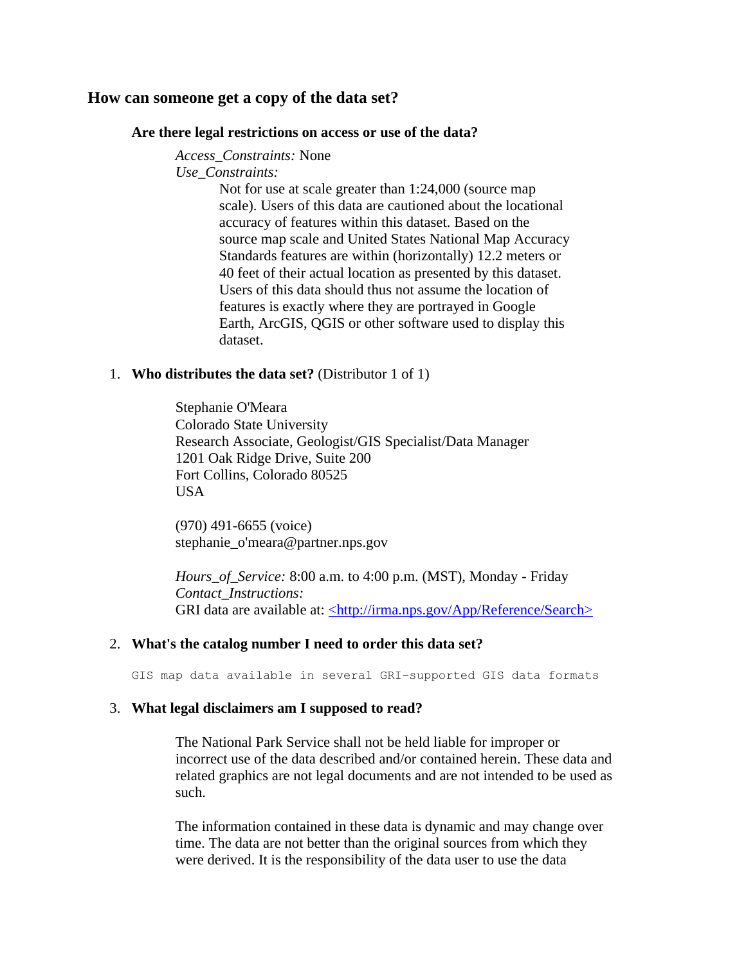### <span id="page-7-1"></span><span id="page-7-0"></span>**How can someone get a copy of the data set?**

#### **Are there legal restrictions on access or use of the data?**

*Access\_Constraints:* None

*Use\_Constraints:*

Not for use at scale greater than 1:24,000 (source map scale). Users of this data are cautioned about the locational accuracy of features within this dataset. Based on the source map scale and United States National Map Accuracy Standards features are within (horizontally) 12.2 meters or 40 feet of their actual location as presented by this dataset. Users of this data should thus not assume the location of features is exactly where they are portrayed in Google Earth, ArcGIS, QGIS or other software used to display this dataset.

#### <span id="page-7-2"></span>1. **Who distributes the data set?** (Distributor 1 of 1)

Stephanie O'Meara Colorado State University Research Associate, Geologist/GIS Specialist/Data Manager 1201 Oak Ridge Drive, Suite 200 Fort Collins, Colorado 80525 USA

(970) 491-6655 (voice) stephanie\_o'meara@partner.nps.gov

*Hours\_of\_Service:* 8:00 a.m. to 4:00 p.m. (MST), Monday - Friday *Contact\_Instructions:* GRI data are available at: [<http://irma.nps.gov/App/Reference/Search>](http://irma.nps.gov/App/Reference/Search)

#### <span id="page-7-3"></span>2. **What's the catalog number I need to order this data set?**

GIS map data available in several GRI-supported GIS data formats

#### <span id="page-7-4"></span>3. **What legal disclaimers am I supposed to read?**

The National Park Service shall not be held liable for improper or incorrect use of the data described and/or contained herein. These data and related graphics are not legal documents and are not intended to be used as such.

The information contained in these data is dynamic and may change over time. The data are not better than the original sources from which they were derived. It is the responsibility of the data user to use the data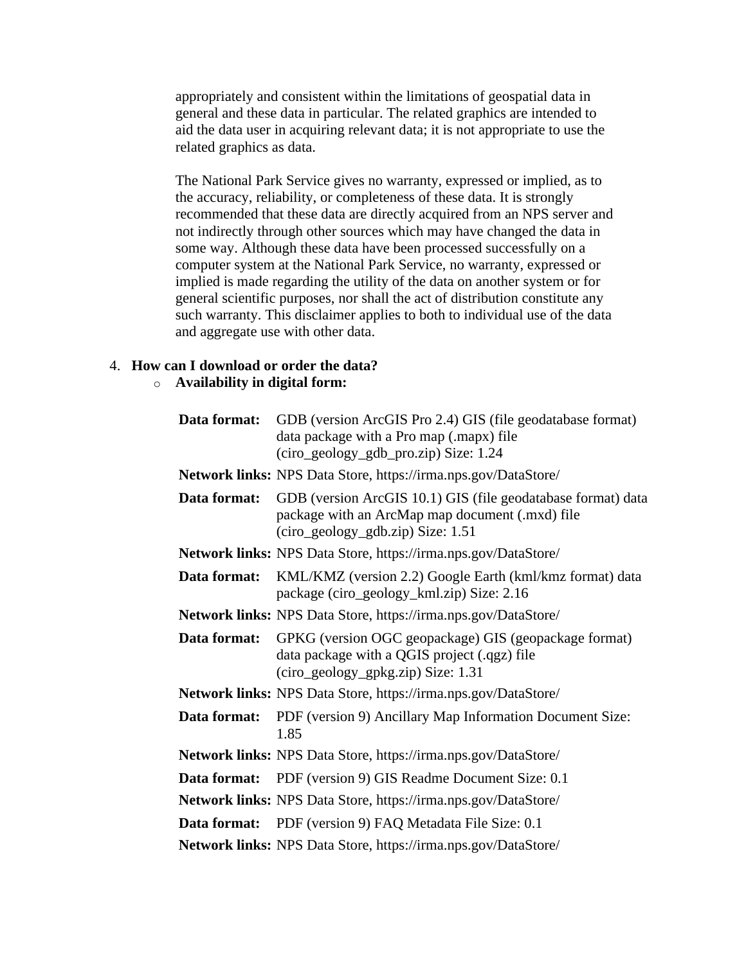appropriately and consistent within the limitations of geospatial data in general and these data in particular. The related graphics are intended to aid the data user in acquiring relevant data; it is not appropriate to use the related graphics as data.

The National Park Service gives no warranty, expressed or implied, as to the accuracy, reliability, or completeness of these data. It is strongly recommended that these data are directly acquired from an NPS server and not indirectly through other sources which may have changed the data in some way. Although these data have been processed successfully on a computer system at the National Park Service, no warranty, expressed or implied is made regarding the utility of the data on another system or for general scientific purposes, nor shall the act of distribution constitute any such warranty. This disclaimer applies to both to individual use of the data and aggregate use with other data.

# <span id="page-8-0"></span>4. **How can I download or order the data?**

# o **Availability in digital form:**

| Data format: | GDB (version ArcGIS Pro 2.4) GIS (file geodatabase format)<br>data package with a Pro map (.mapx) file<br>(ciro_geology_gdb_pro.zip) Size: 1.24      |
|--------------|------------------------------------------------------------------------------------------------------------------------------------------------------|
|              | Network links: NPS Data Store, https://irma.nps.gov/DataStore/                                                                                       |
| Data format: | GDB (version ArcGIS 10.1) GIS (file geodatabase format) data<br>package with an ArcMap map document (.mxd) file<br>(ciro_geology_gdb.zip) Size: 1.51 |
|              | Network links: NPS Data Store, https://irma.nps.gov/DataStore/                                                                                       |
| Data format: | KML/KMZ (version 2.2) Google Earth (kml/kmz format) data<br>package (ciro_geology_kml.zip) Size: 2.16                                                |
|              | Network links: NPS Data Store, https://irma.nps.gov/DataStore/                                                                                       |
| Data format: | GPKG (version OGC geopackage) GIS (geopackage format)<br>data package with a QGIS project (.qgz) file<br>(ciro_geology_gpkg.zip) Size: 1.31          |
|              | Network links: NPS Data Store, https://irma.nps.gov/DataStore/                                                                                       |
| Data format: | PDF (version 9) Ancillary Map Information Document Size:<br>1.85                                                                                     |
|              | Network links: NPS Data Store, https://irma.nps.gov/DataStore/                                                                                       |
| Data format: | PDF (version 9) GIS Readme Document Size: 0.1                                                                                                        |
|              | <b>Network links:</b> NPS Data Store, https://irma.nps.gov/DataStore/                                                                                |
|              | <b>Data format:</b> PDF (version 9) FAQ Metadata File Size: 0.1                                                                                      |
|              | Network links: NPS Data Store, https://irma.nps.gov/DataStore/                                                                                       |